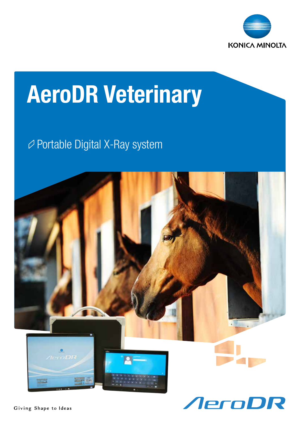

## AeroDR Veterinary

### Portable Digital X-Ray system

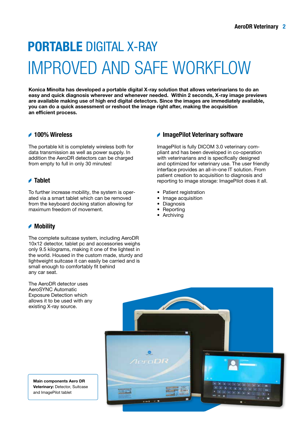## PORTABLE DIGITAL X-RAY IMPROVED AND SAFE WORKFLOW

Konica Minolta has developed a portable digital X-ray solution that allows veterinarians to do an easy and quick diagnosis wherever and whenever needed. Within 2 seconds, X-ray image previews are available making use of high end digital detectors. Since the images are immediately available, you can do a quick assessment or reshoot the image right after, making the acquisition an efficient process.

#### **▲ 100% Wireless**

The portable kit is completely wireless both for data transmission as well as power supply. In addition the AeroDR detectors can be charged from empty to full in only 30 minutes!

#### **▲ Tablet**

To further increase mobility, the system is operated via a smart tablet which can be removed from the keyboard docking station allowing for maximum freedom of movement.

#### **▲ Mobility**

The complete suitcase system, including AeroDR 10x12 detector, tablet pc and accessories weighs only 9.5 kilograms, making it one of the lightest in the world. Housed in the custom made, sturdy and lightweight suitcase it can easily be carried and is small enough to comfortably fit behind any car seat.

The AeroDR detector uses AeroSYNC Automatic Exposure Detection which allows it to be used with any existing X-ray source.

# **AeroDK**

Main components Aero DR Veterinary: Detector, Suitcase and ImagePilot tablet

#### ImagePilot Veterinary software

ImagePilot is fully DICOM 3.0 veterinary compliant and has been developed in co-operation with veterinarians and is specifically designed and optimized for veterinary use. The user friendly interface provides an all-in-one IT solution. From patient creation to acquisition to diagnosis and reporting to image storage: ImagePilot does it all.

- Patient registration
- Image acquisition
- **Diagnosis**
- **Reporting**
- Archiving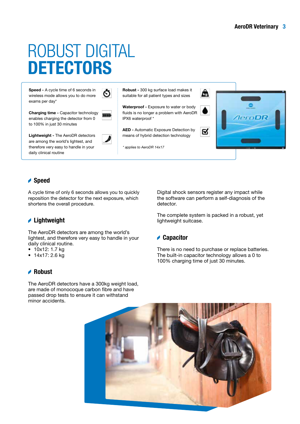## ROBUST DIGITAL **DETECTORS**

Speed - A cycle time of 6 seconds in wireless mode allows you to do more exams per day\*

Charging time - Capacitor technology enables charging the detector from 0 to 100% in just 30 minutes

Ō

Lightweight - The AeroDR detectors are among the world's lightest, and therefore very easy to handle in your daily clinical routine

Robust - 300 kg surface load makes it suitable for all patient types and sizes

Waterproof - Exposure to water or body fluids is no longer a problem with AeroDR IPX6 waterproof \*

AED - Automatic Exposure Detection by means of hybrid detection technology

\* applies to AeroDR 14x17



#### **Speed**

A cycle time of only 6 seconds allows you to quickly reposition the detector for the next exposure, which shortens the overall procedure.

#### **Lightweight**

The AeroDR detectors are among the world's lightest, and therefore very easy to handle in your daily clinical routine.

- 10x12: 1.7 kg
- 14x17: 2.6 kg

#### **A** Robust

The AeroDR detectors have a 300kg weight load, are made of monocoque carbon fibre and have passed drop tests to ensure it can withstand minor accidents.

Digital shock sensors register any impact while the software can perform a self-diagnosis of the detector.

The complete system is packed in a robust, yet lightweight suitcase.

#### **▲ Capacitor**

There is no need to purchase or replace batteries. The built-in capacitor technology allows a 0 to 100% charging time of just 30 minutes.

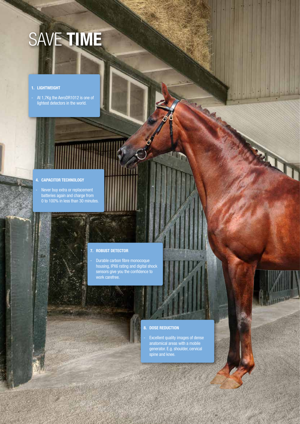# SAVE TIME

#### 1. LIGHTWEIGHT

- At 1,7Kg the AeroDR1012 is one of lightest detectors in the world.

#### 4. CAPACITOR TECHNOLOGY

Never buy extra or replacement batteries again and charge from 0 to 100% in less than 30 minutes.

#### 7. ROBUST DETECTOR

- Durable carbon fibre monocoque housing, IPX6 rating and digital shock sensors give you the confidence to work carefree.

#### 8. DOSE REDUCTION

Excellent quality images of dense anatomical areas with a mobile generator. E.g. shoulder, cervical spine and knee.

AeroDR Veterinary 4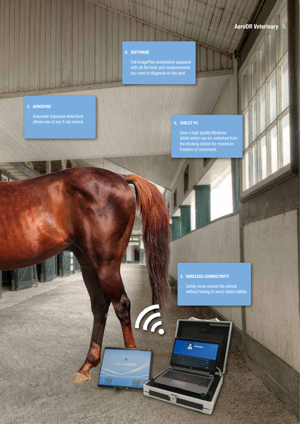#### 6. SOFTWARE

- Full ImagePilot workstation equipped with all the tools and measurements you need to diagnose on the spot.

A.

#### 3. AEROSYNC

in T

Automatic Exposure detections allows use of any X-ray source.

#### 5. TABLET PC

- Uses a high quality Windows tablet which can be undocked from the docking station for maximum freedom of movement.

#### 2. WIRELESS CONNECTIVITY

Safely move around the animal without having to worry about cables.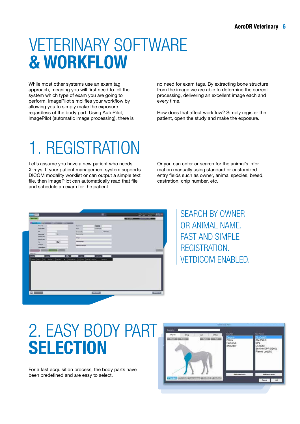## VETERINARY SOFTWARE & WORKFLOW

While most other systems use an exam tag approach, meaning you will first need to tell the system which type of exam you are going to perform, ImagePilot simplifies your workflow by allowing you to simply make the exposure regardless of the body part. Using AutoPilot, ImagePilot (automatic image processing), there is no need for exam tags. By extracting bone structure from the image we are able to determine the correct processing, delivering an excellent image each and every time.

How does that affect workflow? Simply register the patient, open the study and make the exposure.

## 1. REGISTRATION

Let's assume you have a new patient who needs X-rays. If your patient management system supports DICOM modality worklist or can output a simple text file, then ImagePilot can automatically read that file and schedule an exam for the patient.

Or you can enter or search for the animal's information manually using standard or customized entry fields such as owner, animal species, breed, castration, chip number, etc.

| <b>Smith</b>                             |                                 | ≖                                                                                                                                                                                | <b>AND AND ACCOUNT SERVICE</b>         |
|------------------------------------------|---------------------------------|----------------------------------------------------------------------------------------------------------------------------------------------------------------------------------|----------------------------------------|
|                                          |                                 |                                                                                                                                                                                  | <b>CONTRACTOR</b><br><b>CONSIDERED</b> |
| $\overline{\phantom{a}}$                 | the country of the same country |                                                                                                                                                                                  |                                        |
| <b>Falurity</b>                          |                                 | <b>Richard</b><br>$-$                                                                                                                                                            |                                        |
| <b>Fourther</b>                          |                                 | <b>Senten</b>                                                                                                                                                                    |                                        |
| m                                        |                                 | <b>Section</b>                                                                                                                                                                   |                                        |
| <b>Incentive</b><br><b>Detroit Links</b> |                                 | <b>Brancher Stat</b>                                                                                                                                                             |                                        |
| <b>Desired Lists</b>                     |                                 | <b>House</b>                                                                                                                                                                     |                                        |
| Feb                                      | ×                               | ---                                                                                                                                                                              |                                        |
| Tongerom .                               |                                 | <b><i><u>Contract of </u></i></b>                                                                                                                                                |                                        |
|                                          |                                 |                                                                                                                                                                                  |                                        |
| 1 Baltimore                              |                                 |                                                                                                                                                                                  |                                        |
| <b>Takerup</b><br><b>Service</b>         |                                 | the same than the company of the former than the company of the<br><b>Contract Contract</b><br>state was a collective and was the specialist of the book state.<br><b>Second</b> |                                        |
|                                          |                                 |                                                                                                                                                                                  |                                        |

SEARCH BY OWNER OR ANIMAL NAME. FAST AND SIMPLE REGISTRATION. VETDICOM ENABLED.

## 2. EASY BODY PART **SELECTION**

For a fast acquisition process, the body parts have been predefined and are easy to select.

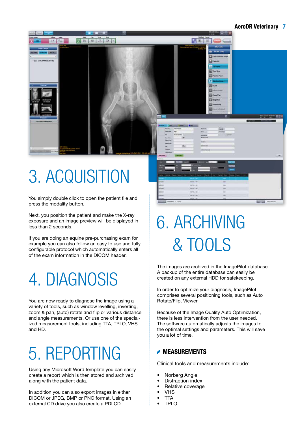#### AeroDR Veterinary 7



## 3. ACQUISITION

You simply double click to open the patient file and press the modality button.

Next, you position the patient and make the X-ray exposure and an image preview will be displayed in less than 2 seconds.

If you are doing an equine pre-purchasing exam for example you can also follow an easy to use and fully configurable protocol which automatically enters all of the exam information in the DICOM header.

## 4. DIAGNOSIS

You are now ready to diagnose the image using a variety of tools, such as window levelling, inverting, zoom & pan, (auto) rotate and flip or various distance and angle measurements. Or use one of the specialized measurement tools, including TTA, TPLO, VHS and HD.

## 5. REPORTING

Using any Microsoft Word template you can easily create a report which is then stored and archived along with the patient data.

In addition you can also export images in either DICOM or JPEG, BMP or PNG format. Using an external CD drive you also create a PDI CD.

## & TOOLS 6. ARCHIVING

The images are archived in the ImagePilot database. A backup of the entire database can easily be created on any external HDD for safekeeping.

In order to optimize your diagnosis, ImagePilot comprises several positioning tools, such as Auto Rotate/Flip, Viewer.

Because of the Image Quality Auto Optimization, there is less intervention from the user needed. The software automatically adjusts the images to the optimal settings and parameters. This will save you a lot of time.

#### MEASUREMENTS

Clinical tools and measurements include:

- Norberg Angle
- Distraction index
- Relative coverage
- VHS
- TTA
- TPLO